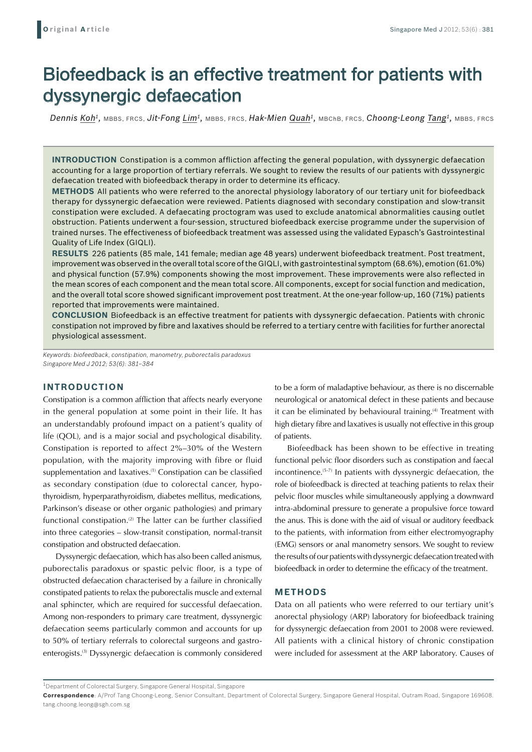# Biofeedback is an effective treatment for patients with dyssynergic defaecation

*Dennis Koh1,* MBBS, FRCS, *Jit-Fong Lim1,* MBBS, FRCS, *Hak-Mien Quah1,* MBChB, FRCS, *Choong-Leong Tang1,* MBBS, FRCS

**Introduction** Constipation is a common affliction affecting the general population, with dyssynergic defaecation accounting for a large proportion of tertiary referrals. We sought to review the results of our patients with dyssynergic defaecation treated with biofeedback therapy in order to determine its efficacy.

**Methods** All patients who were referred to the anorectal physiology laboratory of our tertiary unit for biofeedback therapy for dyssynergic defaecation were reviewed. Patients diagnosed with secondary constipation and slow-transit constipation were excluded. A defaecating proctogram was used to exclude anatomical abnormalities causing outlet obstruction. Patients underwent a four-session, structured biofeedback exercise programme under the supervision of trained nurses. The effectiveness of biofeedback treatment was assessed using the validated Eypasch's Gastrointestinal Quality of Life Index (GIQLI).

**Results** 226 patients (85 male, 141 female; median age 48 years) underwent biofeedback treatment. Post treatment, improvement was observed in the overall total score of the GIQLI, with gastrointestinal symptom (68.6%), emotion (61.0%) and physical function (57.9%) components showing the most improvement. These improvements were also reflected in the mean scores of each component and the mean total score. All components, except for social function and medication, and the overall total score showed significant improvement post treatment. At the one-year follow-up, 160 (71%) patients reported that improvements were maintained.

**Conclusion** Biofeedback is an effective treatment for patients with dyssynergic defaecation. Patients with chronic constipation not improved by fibre and laxatives should be referred to a tertiary centre with facilities for further anorectal physiological assessment.

*Keywords: biofeedback, constipation, manometry, puborectalis paradoxus Singapore Med J 2012; 53(6): 381–384*

# **INTRODUCTION**

Constipation is a common affliction that affects nearly everyone in the general population at some point in their life. It has an understandably profound impact on a patient's quality of life (QOL), and is a major social and psychological disability. Constipation is reported to affect 2%–30% of the Western population, with the majority improving with fibre or fluid supplementation and laxatives.<sup>(1)</sup> Constipation can be classified as secondary constipation (due to colorectal cancer, hypothyroidism, hyperparathyroidism, diabetes mellitus, medications, Parkinson's disease or other organic pathologies) and primary functional constipation.<sup>(2)</sup> The latter can be further classified into three categories – slow-transit constipation, normal-transit constipation and obstructed defaecation.

Dyssynergic defaecation, which has also been called anismus, puborectalis paradoxus or spastic pelvic floor, is a type of obstructed defaecation characterised by a failure in chronically constipated patients to relax the puborectalis muscle and external anal sphincter, which are required for successful defaecation. Among non-responders to primary care treatment, dyssynergic defaecation seems particularly common and accounts for up to 50% of tertiary referrals to colorectal surgeons and gastroenterogists.(3) Dyssynergic defaecation is commonly considered to be a form of maladaptive behaviour, as there is no discernable neurological or anatomical defect in these patients and because it can be eliminated by behavioural training.<sup>(4)</sup> Treatment with high dietary fibre and laxatives is usually not effective in this group of patients.

Biofeedback has been shown to be effective in treating functional pelvic floor disorders such as constipation and faecal incontinence.(5-7) In patients with dyssynergic defaecation, the role of biofeedback is directed at teaching patients to relax their pelvic floor muscles while simultaneously applying a downward intra-abdominal pressure to generate a propulsive force toward the anus. This is done with the aid of visual or auditory feedback to the patients, with information from either electromyography (EMG) sensors or anal manometry sensors. We sought to review the results of our patients with dyssynergic defaecation treated with biofeedback in order to determine the efficacy of the treatment.

#### **METHODS**

Data on all patients who were referred to our tertiary unit's anorectal physiology (ARP) laboratory for biofeedback training for dyssynergic defaecation from 2001 to 2008 were reviewed. All patients with a clinical history of chronic constipation were included for assessment at the ARP laboratory. Causes of

 $1$ Department of Colorectal Surgery, Singapore General Hospital, Singapore

**Correspondence**: A/Prof Tang Choong-Leong, Senior Consultant, Department of Colorectal Surgery, Singapore General Hospital, Outram Road, Singapore 169608. tang.choong.leong@sgh.com.sg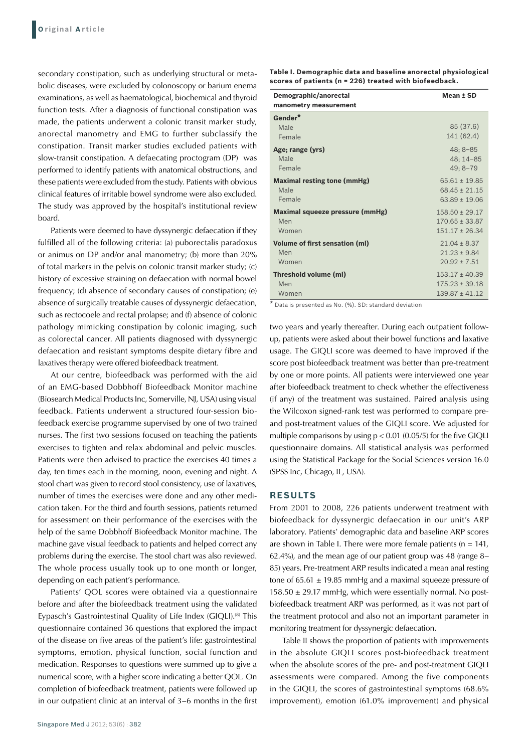secondary constipation, such as underlying structural or metabolic diseases, were excluded by colonoscopy or barium enema examinations, as well as haematological, biochemical and thyroid function tests. After a diagnosis of functional constipation was made, the patients underwent a colonic transit marker study, anorectal manometry and EMG to further subclassify the constipation. Transit marker studies excluded patients with slow-transit constipation. A defaecating proctogram (DP) was performed to identify patients with anatomical obstructions, and these patients were excluded from the study. Patients with obvious clinical features of irritable bowel syndrome were also excluded. The study was approved by the hospital's institutional review board.

Patients were deemed to have dyssynergic defaecation if they fulfilled all of the following criteria: (a) puborectalis paradoxus or animus on DP and/or anal manometry; (b) more than 20% of total markers in the pelvis on colonic transit marker study; (c) history of excessive straining on defaecation with normal bowel frequency; (d) absence of secondary causes of constipation; (e) absence of surgically treatable causes of dyssynergic defaecation, such as rectocoele and rectal prolapse; and (f) absence of colonic pathology mimicking constipation by colonic imaging, such as colorectal cancer. All patients diagnosed with dyssynergic defaecation and resistant symptoms despite dietary fibre and laxatives therapy were offered biofeedback treatment.

At our centre, biofeedback was performed with the aid of an EMG-based Dobbhoff Biofeedback Monitor machine (Biosearch Medical Products Inc, Somerville, NJ, USA) using visual feedback. Patients underwent a structured four-session biofeedback exercise programme supervised by one of two trained nurses. The first two sessions focused on teaching the patients exercises to tighten and relax abdominal and pelvic muscles. Patients were then advised to practice the exercises 40 times a day, ten times each in the morning, noon, evening and night. A stool chart was given to record stool consistency, use of laxatives, number of times the exercises were done and any other medication taken. For the third and fourth sessions, patients returned for assessment on their performance of the exercises with the help of the same Dobbhoff Biofeedback Monitor machine. The machine gave visual feedback to patients and helped correct any problems during the exercise. The stool chart was also reviewed. The whole process usually took up to one month or longer, depending on each patient's performance.

Patients' QOL scores were obtained via a questionnaire before and after the biofeedback treatment using the validated Eypasch's Gastrointestinal Quality of Life Index (GIQLI).<sup>(8)</sup> This questionnaire contained 36 questions that explored the impact of the disease on five areas of the patient's life: gastrointestinal symptoms, emotion, physical function, social function and medication. Responses to questions were summed up to give a numerical score, with a higher score indicating a better QOL. On completion of biofeedback treatment, patients were followed up in our outpatient clinic at an interval of 3–6 months in the first

|                                       | Mean ± SD          |
|---------------------------------------|--------------------|
| Demographic/anorectal                 |                    |
| manometry measurement                 |                    |
| Gender*                               |                    |
| Male                                  | 85 (37.6)          |
| Female                                | 141 (62.4)         |
| Age; range (yrs)                      | $48:8 - 85$        |
| Male                                  | 48; 14-85          |
| Female                                | $49; 8 - 79$       |
| <b>Maximal resting tone (mmHg)</b>    | $65.61 \pm 19.85$  |
| Male                                  | $68.45 + 21.15$    |
| Female                                | $63.89 + 19.06$    |
| Maximal squeeze pressure (mmHg)       | $158.50 + 29.17$   |
| Men                                   | $170.65 \pm 33.87$ |
| Women                                 | $151.17 + 26.34$   |
| <b>Volume of first sensation (ml)</b> | $21.04 \pm 8.37$   |
| Men                                   | $21.23 + 9.84$     |
| Women                                 | $20.92 + 7.51$     |
| Threshold volume (ml)                 | $153.17 + 40.39$   |
| Men                                   | $175.23 \pm 39.18$ |
| Women                                 | $139.87 \pm 41.12$ |

\* Data is presented as No. (%). SD: standard deviation

two years and yearly thereafter. During each outpatient followup, patients were asked about their bowel functions and laxative usage. The GIQLI score was deemed to have improved if the score post biofeedback treatment was better than pre-treatment by one or more points. All patients were interviewed one year after biofeedback treatment to check whether the effectiveness (if any) of the treatment was sustained. Paired analysis using the Wilcoxon signed-rank test was performed to compare preand post-treatment values of the GIQLI score. We adjusted for multiple comparisons by using  $p < 0.01$  (0.05/5) for the five GIQLI questionnaire domains. All statistical analysis was performed using the Statistical Package for the Social Sciences version 16.0 (SPSS Inc, Chicago, IL, USA).

## **RESULTS**

From 2001 to 2008, 226 patients underwent treatment with biofeedback for dyssynergic defaecation in our unit's ARP laboratory. Patients' demographic data and baseline ARP scores are shown in Table I. There were more female patients ( $n = 141$ , 62.4%), and the mean age of our patient group was 48 (range 8– 85) years. Pre-treatment ARP results indicated a mean anal resting tone of  $65.61 \pm 19.85$  mmHg and a maximal squeeze pressure of  $158.50 \pm 29.17$  mmHg, which were essentially normal. No postbiofeedback treatment ARP was performed, as it was not part of the treatment protocol and also not an important parameter in monitoring treatment for dyssynergic defaecation.

Table II shows the proportion of patients with improvements in the absolute GIQLI scores post-biofeedback treatment when the absolute scores of the pre- and post-treatment GIQLI assessments were compared. Among the five components in the GIQLI, the scores of gastrointestinal symptoms (68.6% improvement), emotion (61.0% improvement) and physical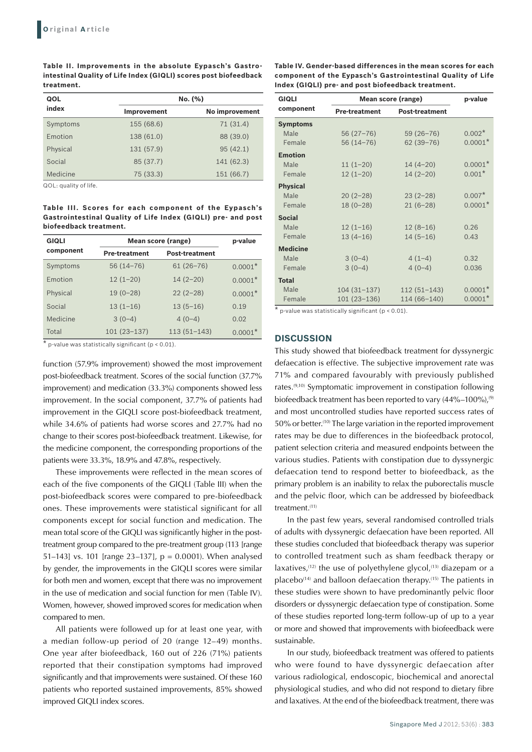**Table II. Improvements in the absolute Eypasch's Gastrointestinal Quality of Life Index (GIQLI) scores post biofeedback treatment.** 

| QOL                             |                    | No. (%)        |
|---------------------------------|--------------------|----------------|
| index                           | <b>Improvement</b> | No improvement |
| Symptoms                        | 155 (68.6)         | 71(31.4)       |
| Emotion                         | 138 (61.0)         | 88 (39.0)      |
| Physical                        | 131 (57.9)         | 95(42.1)       |
| Social                          | 85 (37.7)          | 141 (62.3)     |
| Medicine                        | 75 (33.3)          | 151 (66.7)     |
| $[00]$ $\cdot$ quality of life. |                    |                |

QOL: quality of life.

**Table III. Scores for each component of the Eypasch's Gastrointestinal Quality of Life Index (GIQLI) pre- and post biofeedback treatment.** 

| <b>GIQLI</b> | Mean score (range)   |                       | p-value   |
|--------------|----------------------|-----------------------|-----------|
| component    | <b>Pre-treatment</b> | <b>Post-treatment</b> |           |
| Symptoms     | $56(14 - 76)$        | $61(26 - 76)$         | $0.0001*$ |
| Emotion      | $12(1-20)$           | $14(2-20)$            | $0.0001*$ |
| Physical     | $19(0-28)$           | $22(2-28)$            | $0.0001*$ |
| Social       | $13(1-16)$           | $13(5-16)$            | 0.19      |
| Medicine     | $3(0-4)$             | $4(0-4)$              | 0.02      |
| Total        | $101(23-137)$        | $113(51 - 143)$       | $0.0001*$ |

 $\star$  p-value was statistically significant (p < 0.01).

function (57.9% improvement) showed the most improvement post-biofeedback treatment. Scores of the social function (37.7% improvement) and medication (33.3%) components showed less improvement. In the social component, 37.7% of patients had improvement in the GIQLI score post-biofeedback treatment, while 34.6% of patients had worse scores and 27.7% had no change to their scores post-biofeedback treatment. Likewise, for the medicine component, the corresponding proportions of the patients were 33.3%, 18.9% and 47.8%, respectively.

These improvements were reflected in the mean scores of each of the five components of the GIQLI (Table III) when the post-biofeedback scores were compared to pre-biofeedback ones. These improvements were statistical significant for all components except for social function and medication. The mean total score of the GIQLI was significantly higher in the posttreatment group compared to the pre-treatment group (113 [range 51–1431 vs. 101 [range 23–137],  $p = 0.0001$ ). When analysed by gender, the improvements in the GIQLI scores were similar for both men and women, except that there was no improvement in the use of medication and social function for men (Table IV). Women, however, showed improved scores for medication when compared to men.

All patients were followed up for at least one year, with a median follow-up period of 20 (range 12–49) months. One year after biofeedback, 160 out of 226 (71%) patients reported that their constipation symptoms had improved significantly and that improvements were sustained. Of these 160 patients who reported sustained improvements, 85% showed improved GIQLI index scores.

**Table IV. Gender-based differences in the mean scores for each component of the Eypasch's Gastrointestinal Quality of Life Index (GIQLI) pre- and post biofeedback treatment.** 

| <b>GIQLI</b><br><b>Mean score (range)</b> |                      |                       | p-value   |
|-------------------------------------------|----------------------|-----------------------|-----------|
| component                                 | <b>Pre-treatment</b> | <b>Post-treatment</b> |           |
| <b>Symptoms</b>                           |                      |                       |           |
| Male                                      | $56(27-76)$          | $59(26 - 76)$         | $0.002*$  |
| Female                                    | $56(14-76)$          | $62(39 - 76)$         | $0.0001*$ |
| <b>Emotion</b>                            |                      |                       |           |
| Male                                      | $11(1-20)$           | $14(4-20)$            | $0.0001*$ |
| Female                                    | $12(1-20)$           | $14(2-20)$            | $0.001*$  |
| <b>Physical</b>                           |                      |                       |           |
| Male                                      | $20(2-28)$           | $23(2-28)$            | $0.007*$  |
| Female                                    | $18(0-28)$           | $21(6-28)$            | $0.0001*$ |
| <b>Social</b>                             |                      |                       |           |
| Male                                      | $12(1-16)$           | $12(8-16)$            | 0.26      |
| Female                                    | $13(4-16)$           | $14(5-16)$            | 0.43      |
| <b>Medicine</b>                           |                      |                       |           |
| Male                                      | $3(0-4)$             | $4(1-4)$              | 0.32      |
| Female                                    | $3(0-4)$             | $4(0-4)$              | 0.036     |
| <b>Total</b>                              |                      |                       |           |
| Male                                      | $104(31 - 137)$      | $112(51 - 143)$       | $0.0001*$ |
| Female<br>$\ddot{\phantom{1}}$            | $101(23-136)$        | 114 (66-140)          | $0.0001*$ |

 $p$ -value was statistically significant ( $p < 0.01$ ).

#### **DISCUSSION**

This study showed that biofeedback treatment for dyssynergic defaecation is effective. The subjective improvement rate was 71% and compared favourably with previously published rates.(9,10) Symptomatic improvement in constipation following biofeedback treatment has been reported to vary  $(44\%-100\%)$ ,  $^{(9)}$ and most uncontrolled studies have reported success rates of 50% or better.<sup>(10)</sup> The large variation in the reported improvement rates may be due to differences in the biofeedback protocol, patient selection criteria and measured endpoints between the various studies. Patients with constipation due to dyssynergic defaecation tend to respond better to biofeedback, as the primary problem is an inability to relax the puborectalis muscle and the pelvic floor, which can be addressed by biofeedback treatment.<sup>(11)</sup>

In the past few years, several randomised controlled trials of adults with dyssynergic defaecation have been reported. All these studies concluded that biofeedback therapy was superior to controlled treatment such as sham feedback therapy or laxatives, $(12)$  the use of polyethylene glycol, $(13)$  diazepam or a placebo<sup>(14)</sup> and balloon defaecation therapy.<sup>(15)</sup> The patients in these studies were shown to have predominantly pelvic floor disorders or dyssynergic defaecation type of constipation. Some of these studies reported long-term follow-up of up to a year or more and showed that improvements with biofeedback were sustainable.

In our study, biofeedback treatment was offered to patients who were found to have dyssynergic defaecation after various radiological, endoscopic, biochemical and anorectal physiological studies, and who did not respond to dietary fibre and laxatives. At the end of the biofeedback treatment, there was